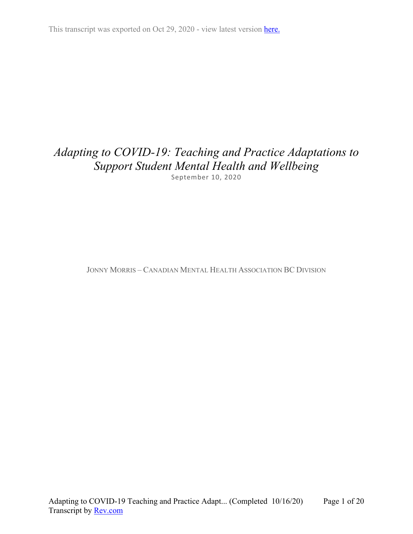This transcript was exported on Oct 29, 2020 - view latest version [here.](https://www.rev.com/transcript-editor/Edit?token=dw8HBCs_XHUDpDLykqz8VrzPL1DcD0w7e3QQuygQZUwU7Za4TTNvtVPMFp-BO41G__ScK-eMGf2JUzopkhh1uyqWuYA&loadFrom=DocumentHeaderDeepLink)

# *Adapting to COVID-19: Teaching and Practice Adaptations to Support Student Mental Health and Wellbeing* September 10, 2020

JONNY MORRIS – CANADIAN MENTAL HEALTH ASSOCIATION BC DIVISION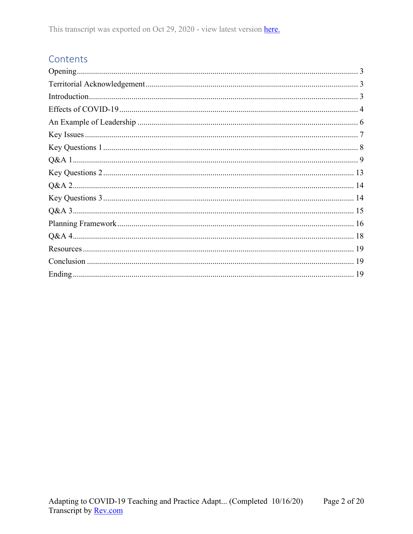## Contents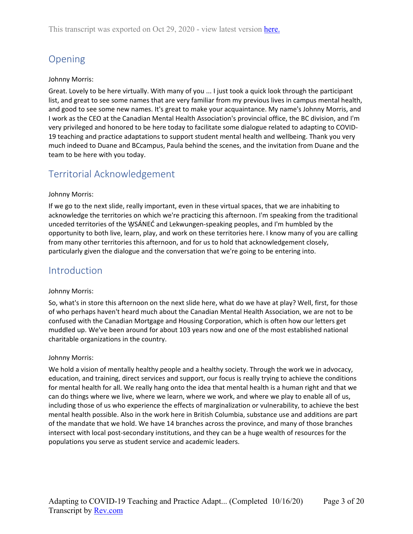# <span id="page-2-0"></span>Opening

### Johnny Morris:

Great. Lovely to be here virtually. With many of you ... I just took a quick look through the participant list, and great to see some names that are very familiar from my previous lives in campus mental health, and good to see some new names. It's great to make your acquaintance. My name's Johnny Morris, and I work as the CEO at the Canadian Mental Health Association's provincial office, the BC division, and I'm very privileged and honored to be here today to facilitate some dialogue related to adapting to COVID-19 teaching and practice adaptations to support student mental health and wellbeing. Thank you very much indeed to Duane and BCcampus, Paula behind the scenes, and the invitation from Duane and the team to be here with you today.

## <span id="page-2-1"></span>Territorial Acknowledgement

### Johnny Morris:

If we go to the next slide, really important, even in these virtual spaces, that we are inhabiting to acknowledge the territories on which we're practicing this afternoon. I'm speaking from the traditional unceded territories of the WSÁNEC and Lekwungen-speaking peoples, and I'm humbled by the opportunity to both live, learn, play, and work on these territories here. I know many of you are calling from many other territories this afternoon, and for us to hold that acknowledgement closely, particularly given the dialogue and the conversation that we're going to be entering into.

## <span id="page-2-2"></span>Introduction

#### Johnny Morris:

So, what's in store this afternoon on the next slide here, what do we have at play? Well, first, for those of who perhaps haven't heard much about the Canadian Mental Health Association, we are not to be confused with the Canadian Mortgage and Housing Corporation, which is often how our letters get muddled up. We've been around for about 103 years now and one of the most established national charitable organizations in the country.

#### Johnny Morris:

We hold a vision of mentally healthy people and a healthy society. Through the work we in advocacy, education, and training, direct services and support, our focus is really trying to achieve the conditions for mental health for all. We really hang onto the idea that mental health is a human right and that we can do things where we live, where we learn, where we work, and where we play to enable all of us, including those of us who experience the effects of marginalization or vulnerability, to achieve the best mental health possible. Also in the work here in British Columbia, substance use and additions are part of the mandate that we hold. We have 14 branches across the province, and many of those branches intersect with local post-secondary institutions, and they can be a huge wealth of resources for the populations you serve as student service and academic leaders.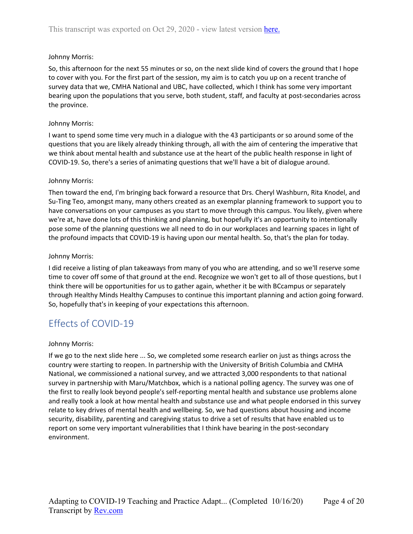So, this afternoon for the next 55 minutes or so, on the next slide kind of covers the ground that I hope to cover with you. For the first part of the session, my aim is to catch you up on a recent tranche of survey data that we, CMHA National and UBC, have collected, which I think has some very important bearing upon the populations that you serve, both student, staff, and faculty at post-secondaries across the province.

#### Johnny Morris:

I want to spend some time very much in a dialogue with the 43 participants or so around some of the questions that you are likely already thinking through, all with the aim of centering the imperative that we think about mental health and substance use at the heart of the public health response in light of COVID-19. So, there's a series of animating questions that we'll have a bit of dialogue around.

### Johnny Morris:

Then toward the end, I'm bringing back forward a resource that Drs. Cheryl Washburn, Rita Knodel, and Su-Ting Teo, amongst many, many others created as an exemplar planning framework to support you to have conversations on your campuses as you start to move through this campus. You likely, given where we're at, have done lots of this thinking and planning, but hopefully it's an opportunity to intentionally pose some of the planning questions we all need to do in our workplaces and learning spaces in light of the profound impacts that COVID-19 is having upon our mental health. So, that's the plan for today.

### Johnny Morris:

I did receive a listing of plan takeaways from many of you who are attending, and so we'll reserve some time to cover off some of that ground at the end. Recognize we won't get to all of those questions, but I think there will be opportunities for us to gather again, whether it be with BCcampus or separately through Healthy Minds Healthy Campuses to continue this important planning and action going forward. So, hopefully that's in keeping of your expectations this afternoon.

# <span id="page-3-0"></span>Effects of COVID-19

#### Johnny Morris:

If we go to the next slide here ... So, we completed some research earlier on just as things across the country were starting to reopen. In partnership with the University of British Columbia and CMHA National, we commissioned a national survey, and we attracted 3,000 respondents to that national survey in partnership with Maru/Matchbox, which is a national polling agency. The survey was one of the first to really look beyond people's self-reporting mental health and substance use problems alone and really took a look at how mental health and substance use and what people endorsed in this survey relate to key drives of mental health and wellbeing. So, we had questions about housing and income security, disability, parenting and caregiving status to drive a set of results that have enabled us to report on some very important vulnerabilities that I think have bearing in the post-secondary environment.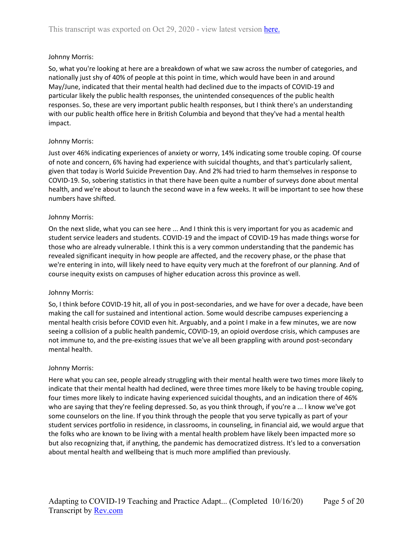So, what you're looking at here are a breakdown of what we saw across the number of categories, and nationally just shy of 40% of people at this point in time, which would have been in and around May/June, indicated that their mental health had declined due to the impacts of COVID-19 and particular likely the public health responses, the unintended consequences of the public health responses. So, these are very important public health responses, but I think there's an understanding with our public health office here in British Columbia and beyond that they've had a mental health impact.

### Johnny Morris:

Just over 46% indicating experiences of anxiety or worry, 14% indicating some trouble coping. Of course of note and concern, 6% having had experience with suicidal thoughts, and that's particularly salient, given that today is World Suicide Prevention Day. And 2% had tried to harm themselves in response to COVID-19. So, sobering statistics in that there have been quite a number of surveys done about mental health, and we're about to launch the second wave in a few weeks. It will be important to see how these numbers have shifted.

#### Johnny Morris:

On the next slide, what you can see here ... And I think this is very important for you as academic and student service leaders and students. COVID-19 and the impact of COVID-19 has made things worse for those who are already vulnerable. I think this is a very common understanding that the pandemic has revealed significant inequity in how people are affected, and the recovery phase, or the phase that we're entering in into, will likely need to have equity very much at the forefront of our planning. And of course inequity exists on campuses of higher education across this province as well.

#### Johnny Morris:

So, I think before COVID-19 hit, all of you in post-secondaries, and we have for over a decade, have been making the call for sustained and intentional action. Some would describe campuses experiencing a mental health crisis before COVID even hit. Arguably, and a point I make in a few minutes, we are now seeing a collision of a public health pandemic, COVID-19, an opioid overdose crisis, which campuses are not immune to, and the pre-existing issues that we've all been grappling with around post-secondary mental health.

#### Johnny Morris:

Here what you can see, people already struggling with their mental health were two times more likely to indicate that their mental health had declined, were three times more likely to be having trouble coping, four times more likely to indicate having experienced suicidal thoughts, and an indication there of 46% who are saying that they're feeling depressed. So, as you think through, if you're a ... I know we've got some counselors on the line. If you think through the people that you serve typically as part of your student services portfolio in residence, in classrooms, in counseling, in financial aid, we would argue that the folks who are known to be living with a mental health problem have likely been impacted more so but also recognizing that, if anything, the pandemic has democratized distress. It's led to a conversation about mental health and wellbeing that is much more amplified than previously.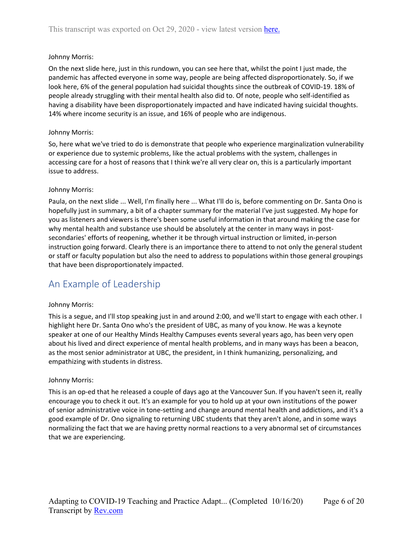On the next slide here, just in this rundown, you can see here that, whilst the point I just made, the pandemic has affected everyone in some way, people are being affected disproportionately. So, if we look here, 6% of the general population had suicidal thoughts since the outbreak of COVID-19. 18% of people already struggling with their mental health also did to. Of note, people who self-identified as having a disability have been disproportionately impacted and have indicated having suicidal thoughts. 14% where income security is an issue, and 16% of people who are indigenous.

#### Johnny Morris:

So, here what we've tried to do is demonstrate that people who experience marginalization vulnerability or experience due to systemic problems, like the actual problems with the system, challenges in accessing care for a host of reasons that I think we're all very clear on, this is a particularly important issue to address.

#### Johnny Morris:

Paula, on the next slide ... Well, I'm finally here ... What I'll do is, before commenting on Dr. Santa Ono is hopefully just in summary, a bit of a chapter summary for the material I've just suggested. My hope for you as listeners and viewers is there's been some useful information in that around making the case for why mental health and substance use should be absolutely at the center in many ways in postsecondaries' efforts of reopening, whether it be through virtual instruction or limited, in-person instruction going forward. Clearly there is an importance there to attend to not only the general student or staff or faculty population but also the need to address to populations within those general groupings that have been disproportionately impacted.

# <span id="page-5-0"></span>An Example of Leadership

#### Johnny Morris:

This is a segue, and I'll stop speaking just in and around 2:00, and we'll start to engage with each other. I highlight here Dr. Santa Ono who's the president of UBC, as many of you know. He was a keynote speaker at one of our Healthy Minds Healthy Campuses events several years ago, has been very open about his lived and direct experience of mental health problems, and in many ways has been a beacon, as the most senior administrator at UBC, the president, in I think humanizing, personalizing, and empathizing with students in distress.

#### Johnny Morris:

This is an op-ed that he released a couple of days ago at the Vancouver Sun. If you haven't seen it, really encourage you to check it out. It's an example for you to hold up at your own institutions of the power of senior administrative voice in tone-setting and change around mental health and addictions, and it's a good example of Dr. Ono signaling to returning UBC students that they aren't alone, and in some ways normalizing the fact that we are having pretty normal reactions to a very abnormal set of circumstances that we are experiencing.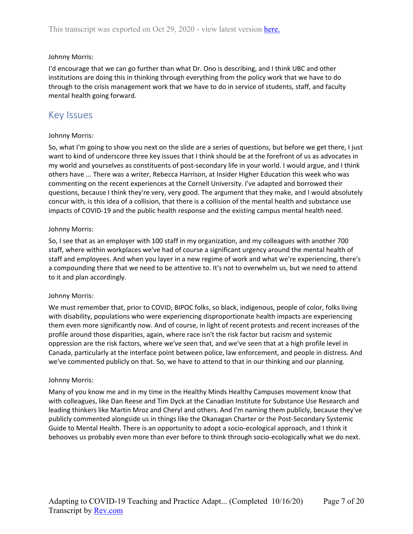I'd encourage that we can go further than what Dr. Ono is describing, and I think UBC and other institutions are doing this in thinking through everything from the policy work that we have to do through to the crisis management work that we have to do in service of students, staff, and faculty mental health going forward.

## <span id="page-6-0"></span>Key Issues

#### Johnny Morris:

So, what I'm going to show you next on the slide are a series of questions, but before we get there, I just want to kind of underscore three key issues that I think should be at the forefront of us as advocates in my world and yourselves as constituents of post-secondary life in your world. I would argue, and I think others have ... There was a writer, Rebecca Harrison, at Insider Higher Education this week who was commenting on the recent experiences at the Cornell University. I've adapted and borrowed their questions, because I think they're very, very good. The argument that they make, and I would absolutely concur with, is this idea of a collision, that there is a collision of the mental health and substance use impacts of COVID-19 and the public health response and the existing campus mental health need.

#### Johnny Morris:

So, I see that as an employer with 100 staff in my organization, and my colleagues with another 700 staff, where within workplaces we've had of course a significant urgency around the mental health of staff and employees. And when you layer in a new regime of work and what we're experiencing, there's a compounding there that we need to be attentive to. It's not to overwhelm us, but we need to attend to it and plan accordingly.

#### Johnny Morris:

We must remember that, prior to COVID, BIPOC folks, so black, indigenous, people of color, folks living with disability, populations who were experiencing disproportionate health impacts are experiencing them even more significantly now. And of course, in light of recent protests and recent increases of the profile around those disparities, again, where race isn't the risk factor but racism and systemic oppression are the risk factors, where we've seen that, and we've seen that at a high profile level in Canada, particularly at the interface point between police, law enforcement, and people in distress. And we've commented publicly on that. So, we have to attend to that in our thinking and our planning.

#### Johnny Morris:

Many of you know me and in my time in the Healthy Minds Healthy Campuses movement know that with colleagues, like Dan Reese and Tim Dyck at the Canadian Institute for Substance Use Research and leading thinkers like Martin Mroz and Cheryl and others. And I'm naming them publicly, because they've publicly commented alongside us in things like the Okanagan Charter or the Post-Secondary Systemic Guide to Mental Health. There is an opportunity to adopt a socio-ecological approach, and I think it behooves us probably even more than ever before to think through socio-ecologically what we do next.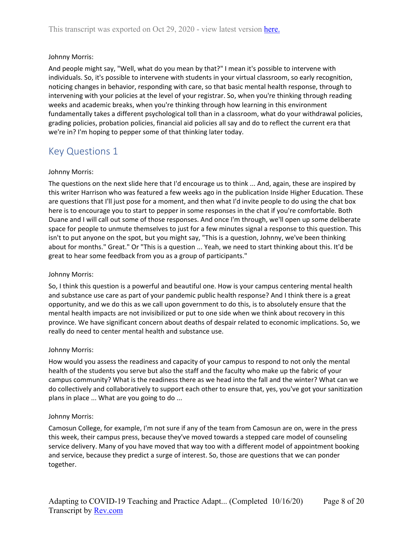And people might say, "Well, what do you mean by that?" I mean it's possible to intervene with individuals. So, it's possible to intervene with students in your virtual classroom, so early recognition, noticing changes in behavior, responding with care, so that basic mental health response, through to intervening with your policies at the level of your registrar. So, when you're thinking through reading weeks and academic breaks, when you're thinking through how learning in this environment fundamentally takes a different psychological toll than in a classroom, what do your withdrawal policies, grading policies, probation policies, financial aid policies all say and do to reflect the current era that we're in? I'm hoping to pepper some of that thinking later today.

## <span id="page-7-0"></span>Key Questions 1

#### Johnny Morris:

The questions on the next slide here that I'd encourage us to think ... And, again, these are inspired by this writer Harrison who was featured a few weeks ago in the publication Inside Higher Education. These are questions that I'll just pose for a moment, and then what I'd invite people to do using the chat box here is to encourage you to start to pepper in some responses in the chat if you're comfortable. Both Duane and I will call out some of those responses. And once I'm through, we'll open up some deliberate space for people to unmute themselves to just for a few minutes signal a response to this question. This isn't to put anyone on the spot, but you might say, "This is a question, Johnny, we've been thinking about for months." Great." Or "This is a question ... Yeah, we need to start thinking about this. It'd be great to hear some feedback from you as a group of participants."

#### Johnny Morris:

So, I think this question is a powerful and beautiful one. How is your campus centering mental health and substance use care as part of your pandemic public health response? And I think there is a great opportunity, and we do this as we call upon government to do this, is to absolutely ensure that the mental health impacts are not invisibilized or put to one side when we think about recovery in this province. We have significant concern about deaths of despair related to economic implications. So, we really do need to center mental health and substance use.

#### Johnny Morris:

How would you assess the readiness and capacity of your campus to respond to not only the mental health of the students you serve but also the staff and the faculty who make up the fabric of your campus community? What is the readiness there as we head into the fall and the winter? What can we do collectively and collaboratively to support each other to ensure that, yes, you've got your sanitization plans in place ... What are you going to do ...

#### Johnny Morris:

Camosun College, for example, I'm not sure if any of the team from Camosun are on, were in the press this week, their campus press, because they've moved towards a stepped care model of counseling service delivery. Many of you have moved that way too with a different model of appointment booking and service, because they predict a surge of interest. So, those are questions that we can ponder together.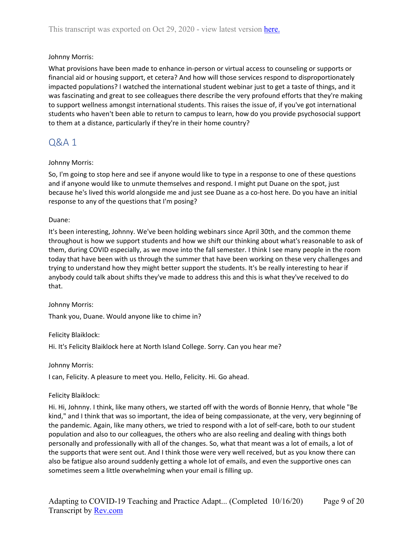What provisions have been made to enhance in-person or virtual access to counseling or supports or financial aid or housing support, et cetera? And how will those services respond to disproportionately impacted populations? I watched the international student webinar just to get a taste of things, and it was fascinating and great to see colleagues there describe the very profound efforts that they're making to support wellness amongst international students. This raises the issue of, if you've got international students who haven't been able to return to campus to learn, how do you provide psychosocial support to them at a distance, particularly if they're in their home country?

## <span id="page-8-0"></span>Q&A 1

## Johnny Morris:

So, I'm going to stop here and see if anyone would like to type in a response to one of these questions and if anyone would like to unmute themselves and respond. I might put Duane on the spot, just because he's lived this world alongside me and just see Duane as a co-host here. Do you have an initial response to any of the questions that I'm posing?

## Duane:

It's been interesting, Johnny. We've been holding webinars since April 30th, and the common theme throughout is how we support students and how we shift our thinking about what's reasonable to ask of them, during COVID especially, as we move into the fall semester. I think I see many people in the room today that have been with us through the summer that have been working on these very challenges and trying to understand how they might better support the students. It's be really interesting to hear if anybody could talk about shifts they've made to address this and this is what they've received to do that.

## Johnny Morris:

Thank you, Duane. Would anyone like to chime in?

Felicity Blaiklock:

Hi. It's Felicity Blaiklock here at North Island College. Sorry. Can you hear me?

Johnny Morris:

I can, Felicity. A pleasure to meet you. Hello, Felicity. Hi. Go ahead.

## Felicity Blaiklock:

Hi. Hi, Johnny. I think, like many others, we started off with the words of Bonnie Henry, that whole "Be kind," and I think that was so important, the idea of being compassionate, at the very, very beginning of the pandemic. Again, like many others, we tried to respond with a lot of self-care, both to our student population and also to our colleagues, the others who are also reeling and dealing with things both personally and professionally with all of the changes. So, what that meant was a lot of emails, a lot of the supports that were sent out. And I think those were very well received, but as you know there can also be fatigue also around suddenly getting a whole lot of emails, and even the supportive ones can sometimes seem a little overwhelming when your email is filling up.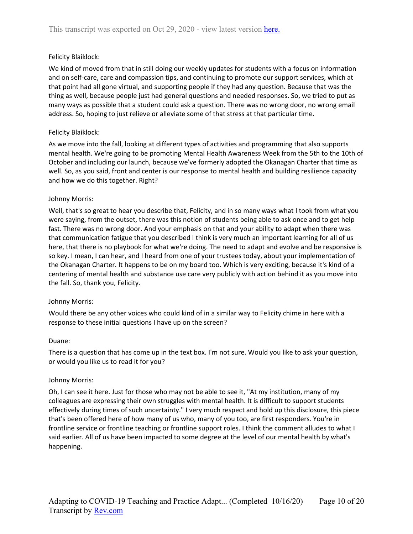#### Felicity Blaiklock:

We kind of moved from that in still doing our weekly updates for students with a focus on information and on self-care, care and compassion tips, and continuing to promote our support services, which at that point had all gone virtual, and supporting people if they had any question. Because that was the thing as well, because people just had general questions and needed responses. So, we tried to put as many ways as possible that a student could ask a question. There was no wrong door, no wrong email address. So, hoping to just relieve or alleviate some of that stress at that particular time.

#### Felicity Blaiklock:

As we move into the fall, looking at different types of activities and programming that also supports mental health. We're going to be promoting Mental Health Awareness Week from the 5th to the 10th of October and including our launch, because we've formerly adopted the Okanagan Charter that time as well. So, as you said, front and center is our response to mental health and building resilience capacity and how we do this together. Right?

#### Johnny Morris:

Well, that's so great to hear you describe that, Felicity, and in so many ways what I took from what you were saying, from the outset, there was this notion of students being able to ask once and to get help fast. There was no wrong door. And your emphasis on that and your ability to adapt when there was that communication fatigue that you described I think is very much an important learning for all of us here, that there is no playbook for what we're doing. The need to adapt and evolve and be responsive is so key. I mean, I can hear, and I heard from one of your trustees today, about your implementation of the Okanagan Charter. It happens to be on my board too. Which is very exciting, because it's kind of a centering of mental health and substance use care very publicly with action behind it as you move into the fall. So, thank you, Felicity.

#### Johnny Morris:

Would there be any other voices who could kind of in a similar way to Felicity chime in here with a response to these initial questions I have up on the screen?

#### Duane:

There is a question that has come up in the text box. I'm not sure. Would you like to ask your question, or would you like us to read it for you?

#### Johnny Morris:

Oh, I can see it here. Just for those who may not be able to see it, "At my institution, many of my colleagues are expressing their own struggles with mental health. It is difficult to support students effectively during times of such uncertainty." I very much respect and hold up this disclosure, this piece that's been offered here of how many of us who, many of you too, are first responders. You're in frontline service or frontline teaching or frontline support roles. I think the comment alludes to what I said earlier. All of us have been impacted to some degree at the level of our mental health by what's happening.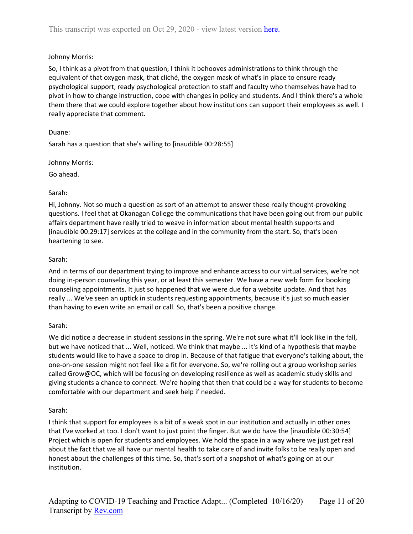So, I think as a pivot from that question, I think it behooves administrations to think through the equivalent of that oxygen mask, that cliché, the oxygen mask of what's in place to ensure ready psychological support, ready psychological protection to staff and faculty who themselves have had to pivot in how to change instruction, cope with changes in policy and students. And I think there's a whole them there that we could explore together about how institutions can support their employees as well. I really appreciate that comment.

## Duane:

Sarah has a question that she's willing to [inaudible 00:28:55]

Johnny Morris:

Go ahead.

## Sarah:

Hi, Johnny. Not so much a question as sort of an attempt to answer these really thought-provoking questions. I feel that at Okanagan College the communications that have been going out from our public affairs department have really tried to weave in information about mental health supports and [inaudible 00:29:17] services at the college and in the community from the start. So, that's been heartening to see.

## Sarah:

And in terms of our department trying to improve and enhance access to our virtual services, we're not doing in-person counseling this year, or at least this semester. We have a new web form for booking counseling appointments. It just so happened that we were due for a website update. And that has really ... We've seen an uptick in students requesting appointments, because it's just so much easier than having to even write an email or call. So, that's been a positive change.

## Sarah:

We did notice a decrease in student sessions in the spring. We're not sure what it'll look like in the fall, but we have noticed that ... Well, noticed. We think that maybe ... It's kind of a hypothesis that maybe students would like to have a space to drop in. Because of that fatigue that everyone's talking about, the one-on-one session might not feel like a fit for everyone. So, we're rolling out a group workshop series called Grow@OC, which will be focusing on developing resilience as well as academic study skills and giving students a chance to connect. We're hoping that then that could be a way for students to become comfortable with our department and seek help if needed.

## Sarah:

I think that support for employees is a bit of a weak spot in our institution and actually in other ones that I've worked at too. I don't want to just point the finger. But we do have the [inaudible 00:30:54] Project which is open for students and employees. We hold the space in a way where we just get real about the fact that we all have our mental health to take care of and invite folks to be really open and honest about the challenges of this time. So, that's sort of a snapshot of what's going on at our institution.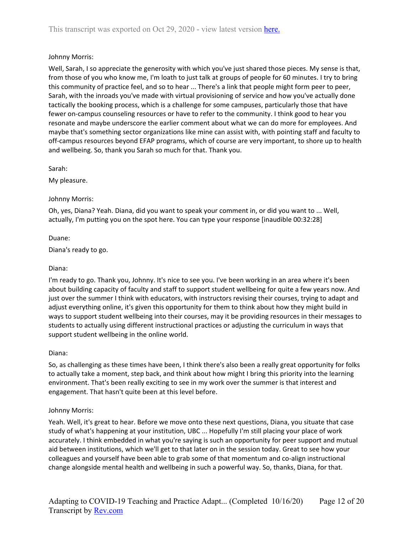Well, Sarah, I so appreciate the generosity with which you've just shared those pieces. My sense is that, from those of you who know me, I'm loath to just talk at groups of people for 60 minutes. I try to bring this community of practice feel, and so to hear ... There's a link that people might form peer to peer, Sarah, with the inroads you've made with virtual provisioning of service and how you've actually done tactically the booking process, which is a challenge for some campuses, particularly those that have fewer on-campus counseling resources or have to refer to the community. I think good to hear you resonate and maybe underscore the earlier comment about what we can do more for employees. And maybe that's something sector organizations like mine can assist with, with pointing staff and faculty to off-campus resources beyond EFAP programs, which of course are very important, to shore up to health and wellbeing. So, thank you Sarah so much for that. Thank you.

Sarah:

My pleasure.

## Johnny Morris:

Oh, yes, Diana? Yeah. Diana, did you want to speak your comment in, or did you want to ... Well, actually, I'm putting you on the spot here. You can type your response [inaudible 00:32:28]

Duane:

Diana's ready to go.

### Diana:

I'm ready to go. Thank you, Johnny. It's nice to see you. I've been working in an area where it's been about building capacity of faculty and staff to support student wellbeing for quite a few years now. And just over the summer I think with educators, with instructors revising their courses, trying to adapt and adjust everything online, it's given this opportunity for them to think about how they might build in ways to support student wellbeing into their courses, may it be providing resources in their messages to students to actually using different instructional practices or adjusting the curriculum in ways that support student wellbeing in the online world.

#### Diana:

So, as challenging as these times have been, I think there's also been a really great opportunity for folks to actually take a moment, step back, and think about how might I bring this priority into the learning environment. That's been really exciting to see in my work over the summer is that interest and engagement. That hasn't quite been at this level before.

## Johnny Morris:

Yeah. Well, it's great to hear. Before we move onto these next questions, Diana, you situate that case study of what's happening at your institution, UBC ... Hopefully I'm still placing your place of work accurately. I think embedded in what you're saying is such an opportunity for peer support and mutual aid between institutions, which we'll get to that later on in the session today. Great to see how your colleagues and yourself have been able to grab some of that momentum and co-align instructional change alongside mental health and wellbeing in such a powerful way. So, thanks, Diana, for that.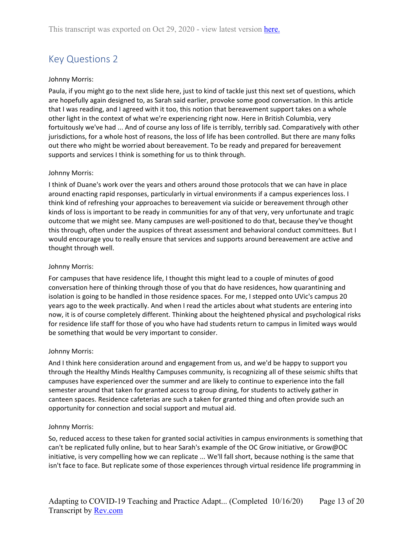# <span id="page-12-0"></span>Key Questions 2

#### Johnny Morris:

Paula, if you might go to the next slide here, just to kind of tackle just this next set of questions, which are hopefully again designed to, as Sarah said earlier, provoke some good conversation. In this article that I was reading, and I agreed with it too, this notion that bereavement support takes on a whole other light in the context of what we're experiencing right now. Here in British Columbia, very fortuitously we've had ... And of course any loss of life is terribly, terribly sad. Comparatively with other jurisdictions, for a whole host of reasons, the loss of life has been controlled. But there are many folks out there who might be worried about bereavement. To be ready and prepared for bereavement supports and services I think is something for us to think through.

#### Johnny Morris:

I think of Duane's work over the years and others around those protocols that we can have in place around enacting rapid responses, particularly in virtual environments if a campus experiences loss. I think kind of refreshing your approaches to bereavement via suicide or bereavement through other kinds of loss is important to be ready in communities for any of that very, very unfortunate and tragic outcome that we might see. Many campuses are well-positioned to do that, because they've thought this through, often under the auspices of threat assessment and behavioral conduct committees. But I would encourage you to really ensure that services and supports around bereavement are active and thought through well.

#### Johnny Morris:

For campuses that have residence life, I thought this might lead to a couple of minutes of good conversation here of thinking through those of you that do have residences, how quarantining and isolation is going to be handled in those residence spaces. For me, I stepped onto UVic's campus 20 years ago to the week practically. And when I read the articles about what students are entering into now, it is of course completely different. Thinking about the heightened physical and psychological risks for residence life staff for those of you who have had students return to campus in limited ways would be something that would be very important to consider.

#### Johnny Morris:

And I think here consideration around and engagement from us, and we'd be happy to support you through the Healthy Minds Healthy Campuses community, is recognizing all of these seismic shifts that campuses have experienced over the summer and are likely to continue to experience into the fall semester around that taken for granted access to group dining, for students to actively gather in canteen spaces. Residence cafeterias are such a taken for granted thing and often provide such an opportunity for connection and social support and mutual aid.

#### Johnny Morris:

So, reduced access to these taken for granted social activities in campus environments is something that can't be replicated fully online, but to hear Sarah's example of the OC Grow initiative, or Grow@OC initiative, is very compelling how we can replicate ... We'll fall short, because nothing is the same that isn't face to face. But replicate some of those experiences through virtual residence life programming in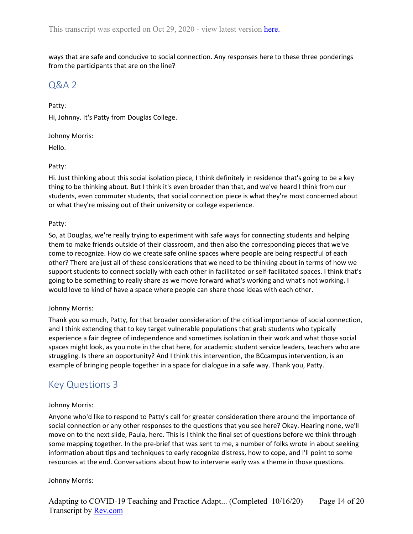ways that are safe and conducive to social connection. Any responses here to these three ponderings from the participants that are on the line?

## <span id="page-13-0"></span>Q&A 2

Patty: Hi, Johnny. It's Patty from Douglas College.

Johnny Morris: Hello.

### Patty:

Hi. Just thinking about this social isolation piece, I think definitely in residence that's going to be a key thing to be thinking about. But I think it's even broader than that, and we've heard I think from our students, even commuter students, that social connection piece is what they're most concerned about or what they're missing out of their university or college experience.

### Patty:

So, at Douglas, we're really trying to experiment with safe ways for connecting students and helping them to make friends outside of their classroom, and then also the corresponding pieces that we've come to recognize. How do we create safe online spaces where people are being respectful of each other? There are just all of these considerations that we need to be thinking about in terms of how we support students to connect socially with each other in facilitated or self-facilitated spaces. I think that's going to be something to really share as we move forward what's working and what's not working. I would love to kind of have a space where people can share those ideas with each other.

## Johnny Morris:

Thank you so much, Patty, for that broader consideration of the critical importance of social connection, and I think extending that to key target vulnerable populations that grab students who typically experience a fair degree of independence and sometimes isolation in their work and what those social spaces might look, as you note in the chat here, for academic student service leaders, teachers who are struggling. Is there an opportunity? And I think this intervention, the BCcampus intervention, is an example of bringing people together in a space for dialogue in a safe way. Thank you, Patty.

## <span id="page-13-1"></span>Key Questions 3

## Johnny Morris:

Anyone who'd like to respond to Patty's call for greater consideration there around the importance of social connection or any other responses to the questions that you see here? Okay. Hearing none, we'll move on to the next slide, Paula, here. This is I think the final set of questions before we think through some mapping together. In the pre-brief that was sent to me, a number of folks wrote in about seeking information about tips and techniques to early recognize distress, how to cope, and I'll point to some resources at the end. Conversations about how to intervene early was a theme in those questions.

## Johnny Morris: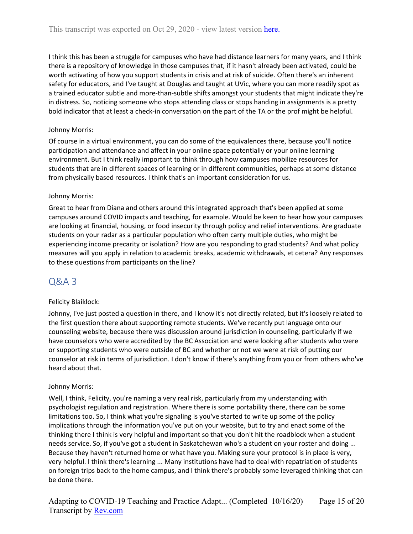I think this has been a struggle for campuses who have had distance learners for many years, and I think there is a repository of knowledge in those campuses that, if it hasn't already been activated, could be worth activating of how you support students in crisis and at risk of suicide. Often there's an inherent safety for educators, and I've taught at Douglas and taught at UVic, where you can more readily spot as a trained educator subtle and more-than-subtle shifts amongst your students that might indicate they're in distress. So, noticing someone who stops attending class or stops handing in assignments is a pretty bold indicator that at least a check-in conversation on the part of the TA or the prof might be helpful.

## Johnny Morris:

Of course in a virtual environment, you can do some of the equivalences there, because you'll notice participation and attendance and affect in your online space potentially or your online learning environment. But I think really important to think through how campuses mobilize resources for students that are in different spaces of learning or in different communities, perhaps at some distance from physically based resources. I think that's an important consideration for us.

## Johnny Morris:

Great to hear from Diana and others around this integrated approach that's been applied at some campuses around COVID impacts and teaching, for example. Would be keen to hear how your campuses are looking at financial, housing, or food insecurity through policy and relief interventions. Are graduate students on your radar as a particular population who often carry multiple duties, who might be experiencing income precarity or isolation? How are you responding to grad students? And what policy measures will you apply in relation to academic breaks, academic withdrawals, et cetera? Any responses to these questions from participants on the line?

## <span id="page-14-0"></span>Q&A 3

## Felicity Blaiklock:

Johnny, I've just posted a question in there, and I know it's not directly related, but it's loosely related to the first question there about supporting remote students. We've recently put language onto our counseling website, because there was discussion around jurisdiction in counseling, particularly if we have counselors who were accredited by the BC Association and were looking after students who were or supporting students who were outside of BC and whether or not we were at risk of putting our counselor at risk in terms of jurisdiction. I don't know if there's anything from you or from others who've heard about that.

## Johnny Morris:

Well, I think, Felicity, you're naming a very real risk, particularly from my understanding with psychologist regulation and registration. Where there is some portability there, there can be some limitations too. So, I think what you're signaling is you've started to write up some of the policy implications through the information you've put on your website, but to try and enact some of the thinking there I think is very helpful and important so that you don't hit the roadblock when a student needs service. So, if you've got a student in Saskatchewan who's a student on your roster and doing ... Because they haven't returned home or what have you. Making sure your protocol is in place is very, very helpful. I think there's learning ... Many institutions have had to deal with repatriation of students on foreign trips back to the home campus, and I think there's probably some leveraged thinking that can be done there.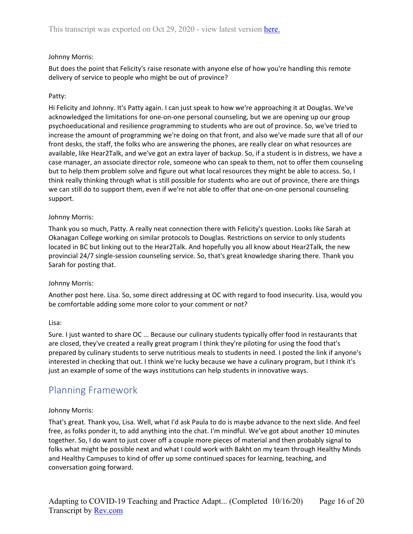But does the point that Felicity's raise resonate with anyone else of how you're handling this remote delivery of service to people who might be out of province?

## Patty:

Hi Felicity and Johnny. It's Patty again. I can just speak to how we're approaching it at Douglas. We've acknowledged the limitations for one-on-one personal counseling, but we are opening up our group psychoeducational and resilience programming to students who are out of province. So, we've tried to increase the amount of programming we're doing on that front, and also we've made sure that all of our front desks, the staff, the folks who are answering the phones, are really clear on what resources are available, like Hear2Talk, and we've got an extra layer of backup. So, if a student is in distress, we have a case manager, an associate director role, someone who can speak to them, not to offer them counseling but to help them problem solve and figure out what local resources they might be able to access. So, I think really thinking through what is still possible for students who are out of province, there are things we can still do to support them, even if we're not able to offer that one-on-one personal counseling support.

## Johnny Morris:

Thank you so much, Patty. A really neat connection there with Felicity's question. Looks like Sarah at Okanagan College working on similar protocols to Douglas. Restrictions on service to only students located in BC but linking out to the Hear2Talk. And hopefully you all know about Hear2Talk, the new provincial 24/7 single-session counseling service. So, that's great knowledge sharing there. Thank you Sarah for posting that.

## Johnny Morris:

Another post here. Lisa. So, some direct addressing at OC with regard to food insecurity. Lisa, would you be comfortable adding some more color to your comment or not?

## Lisa:

Sure. I just wanted to share OC ... Because our culinary students typically offer food in restaurants that are closed, they've created a really great program I think they're piloting for using the food that's prepared by culinary students to serve nutritious meals to students in need. I posted the link if anyone's interested in checking that out. I think we're lucky because we have a culinary program, but I think it's just an example of some of the ways institutions can help students in innovative ways.

## <span id="page-15-0"></span>Planning Framework

## Johnny Morris:

That's great. Thank you, Lisa. Well, what I'd ask Paula to do is maybe advance to the next slide. And feel free, as folks ponder it, to add anything into the chat. I'm mindful. We've got about another 10 minutes together. So, I do want to just cover off a couple more pieces of material and then probably signal to folks what might be possible next and what I could work with Bakht on my team through Healthy Minds and Healthy Campuses to kind of offer up some continued spaces for learning, teaching, and conversation going forward.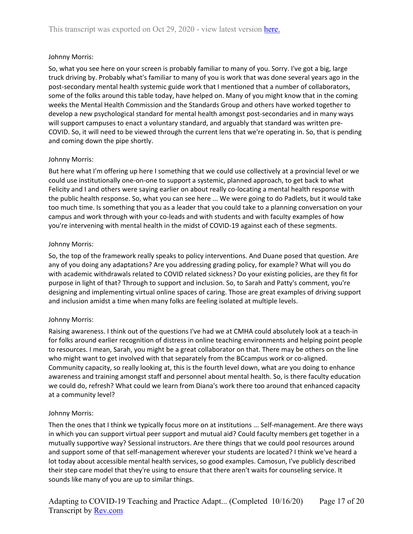So, what you see here on your screen is probably familiar to many of you. Sorry. I've got a big, large truck driving by. Probably what's familiar to many of you is work that was done several years ago in the post-secondary mental health systemic guide work that I mentioned that a number of collaborators, some of the folks around this table today, have helped on. Many of you might know that in the coming weeks the Mental Health Commission and the Standards Group and others have worked together to develop a new psychological standard for mental health amongst post-secondaries and in many ways will support campuses to enact a voluntary standard, and arguably that standard was written pre-COVID. So, it will need to be viewed through the current lens that we're operating in. So, that is pending and coming down the pipe shortly.

### Johnny Morris:

But here what I'm offering up here I something that we could use collectively at a provincial level or we could use institutionally one-on-one to support a systemic, planned approach, to get back to what Felicity and I and others were saying earlier on about really co-locating a mental health response with the public health response. So, what you can see here ... We were going to do Padlets, but it would take too much time. Is something that you as a leader that you could take to a planning conversation on your campus and work through with your co-leads and with students and with faculty examples of how you're intervening with mental health in the midst of COVID-19 against each of these segments.

#### Johnny Morris:

So, the top of the framework really speaks to policy interventions. And Duane posed that question. Are any of you doing any adaptations? Are you addressing grading policy, for example? What will you do with academic withdrawals related to COVID related sickness? Do your existing policies, are they fit for purpose in light of that? Through to support and inclusion. So, to Sarah and Patty's comment, you're designing and implementing virtual online spaces of caring. Those are great examples of driving support and inclusion amidst a time when many folks are feeling isolated at multiple levels.

#### Johnny Morris:

Raising awareness. I think out of the questions I've had we at CMHA could absolutely look at a teach-in for folks around earlier recognition of distress in online teaching environments and helping point people to resources. I mean, Sarah, you might be a great collaborator on that. There may be others on the line who might want to get involved with that separately from the BCcampus work or co-aligned. Community capacity, so really looking at, this is the fourth level down, what are you doing to enhance awareness and training amongst staff and personnel about mental health. So, is there faculty education we could do, refresh? What could we learn from Diana's work there too around that enhanced capacity at a community level?

#### Johnny Morris:

Then the ones that I think we typically focus more on at institutions ... Self-management. Are there ways in which you can support virtual peer support and mutual aid? Could faculty members get together in a mutually supportive way? Sessional instructors. Are there things that we could pool resources around and support some of that self-management wherever your students are located? I think we've heard a lot today about accessible mental health services, so good examples. Camosun, I've publicly described their step care model that they're using to ensure that there aren't waits for counseling service. It sounds like many of you are up to similar things.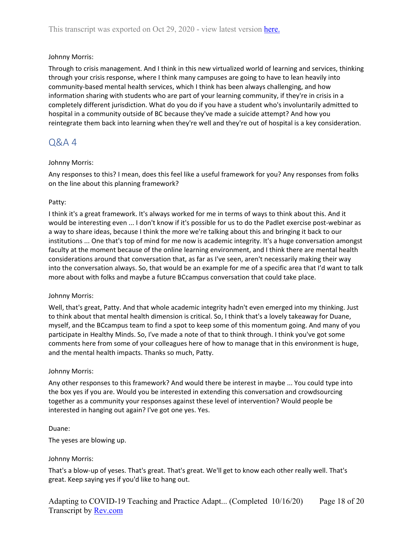Through to crisis management. And I think in this new virtualized world of learning and services, thinking through your crisis response, where I think many campuses are going to have to lean heavily into community-based mental health services, which I think has been always challenging, and how information sharing with students who are part of your learning community, if they're in crisis in a completely different jurisdiction. What do you do if you have a student who's involuntarily admitted to hospital in a community outside of BC because they've made a suicide attempt? And how you reintegrate them back into learning when they're well and they're out of hospital is a key consideration.

## <span id="page-17-0"></span>Q&A 4

## Johnny Morris:

Any responses to this? I mean, does this feel like a useful framework for you? Any responses from folks on the line about this planning framework?

## Patty:

I think it's a great framework. It's always worked for me in terms of ways to think about this. And it would be interesting even ... I don't know if it's possible for us to do the Padlet exercise post-webinar as a way to share ideas, because I think the more we're talking about this and bringing it back to our institutions ... One that's top of mind for me now is academic integrity. It's a huge conversation amongst faculty at the moment because of the online learning environment, and I think there are mental health considerations around that conversation that, as far as I've seen, aren't necessarily making their way into the conversation always. So, that would be an example for me of a specific area that I'd want to talk more about with folks and maybe a future BCcampus conversation that could take place.

## Johnny Morris:

Well, that's great, Patty. And that whole academic integrity hadn't even emerged into my thinking. Just to think about that mental health dimension is critical. So, I think that's a lovely takeaway for Duane, myself, and the BCcampus team to find a spot to keep some of this momentum going. And many of you participate in Healthy Minds. So, I've made a note of that to think through. I think you've got some comments here from some of your colleagues here of how to manage that in this environment is huge, and the mental health impacts. Thanks so much, Patty.

## Johnny Morris:

Any other responses to this framework? And would there be interest in maybe ... You could type into the box yes if you are. Would you be interested in extending this conversation and crowdsourcing together as a community your responses against these level of intervention? Would people be interested in hanging out again? I've got one yes. Yes.

#### Duane:

The yeses are blowing up.

## Johnny Morris:

That's a blow-up of yeses. That's great. That's great. We'll get to know each other really well. That's great. Keep saying yes if you'd like to hang out.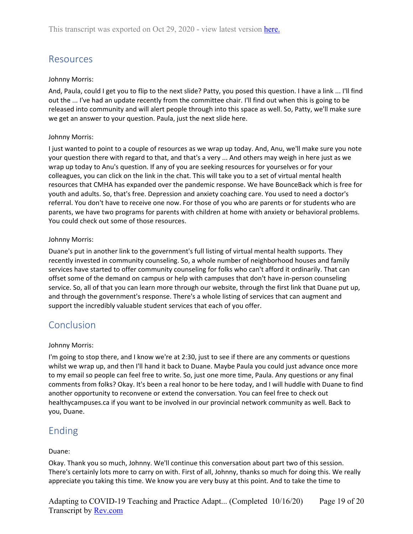# <span id="page-18-0"></span>Resources

## Johnny Morris:

And, Paula, could I get you to flip to the next slide? Patty, you posed this question. I have a link ... I'll find out the ... I've had an update recently from the committee chair. I'll find out when this is going to be released into community and will alert people through into this space as well. So, Patty, we'll make sure we get an answer to your question. Paula, just the next slide here.

## Johnny Morris:

I just wanted to point to a couple of resources as we wrap up today. And, Anu, we'll make sure you note your question there with regard to that, and that's a very ... And others may weigh in here just as we wrap up today to Anu's question. If any of you are seeking resources for yourselves or for your colleagues, you can click on the link in the chat. This will take you to a set of virtual mental health resources that CMHA has expanded over the pandemic response. We have BounceBack which is free for youth and adults. So, that's free. Depression and anxiety coaching care. You used to need a doctor's referral. You don't have to receive one now. For those of you who are parents or for students who are parents, we have two programs for parents with children at home with anxiety or behavioral problems. You could check out some of those resources.

## Johnny Morris:

Duane's put in another link to the government's full listing of virtual mental health supports. They recently invested in community counseling. So, a whole number of neighborhood houses and family services have started to offer community counseling for folks who can't afford it ordinarily. That can offset some of the demand on campus or help with campuses that don't have in-person counseling service. So, all of that you can learn more through our website, through the first link that Duane put up, and through the government's response. There's a whole listing of services that can augment and support the incredibly valuable student services that each of you offer.

## <span id="page-18-1"></span>Conclusion

## Johnny Morris:

I'm going to stop there, and I know we're at 2:30, just to see if there are any comments or questions whilst we wrap up, and then I'll hand it back to Duane. Maybe Paula you could just advance once more to my email so people can feel free to write. So, just one more time, Paula. Any questions or any final comments from folks? Okay. It's been a real honor to be here today, and I will huddle with Duane to find another opportunity to reconvene or extend the conversation. You can feel free to check out healthycampuses.ca if you want to be involved in our provincial network community as well. Back to you, Duane.

## <span id="page-18-2"></span>Ending

## Duane:

Okay. Thank you so much, Johnny. We'll continue this conversation about part two of this session. There's certainly lots more to carry on with. First of all, Johnny, thanks so much for doing this. We really appreciate you taking this time. We know you are very busy at this point. And to take the time to

Adapting to COVID-19 Teaching and Practice Adapt... (Completed 10/16/20) Transcript by **Rev.com** Page 19 of 20